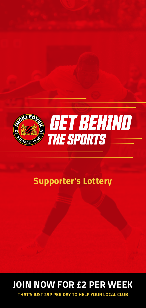

### **Supporter's Lottery**

## **JOIN NOW FOR £2 PER WEEK**

**THAT'S JUST 29P PER DAY TO HELP YOUR LOCAL CLUB**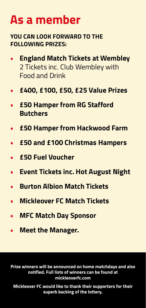# **As a member**

### **YOU CAN LOOK FORWARD TO THE FOLLOWING PRIZES:**

- **• England Match Tickets at Wembley**  2 Tickets inc. Club Wembley with Food and Drink
- **• £400, £100, £50, £25 Value Prizes**
- **• £50 Hamper from RG Stafford Butchers**
- **• £50 Hamper from Hackwood Farm**
- **• £50 and £100 Christmas Hampers**
- **• £50 Fuel Voucher**
- **• Event Tickets inc. Hot August Night**
- **• Burton Albion Match Tickets**
- **• Mickleover FC Match Tickets**
- **• MFC Match Day Sponsor**
- **• Meet the Manager.**

**Prize winners will be announced on home matchdays and also notified. Full lists of winners can be found at mickleoverfc.com**

**Mickleover FC would like to thank their supporters for their superb backing of the lottery.**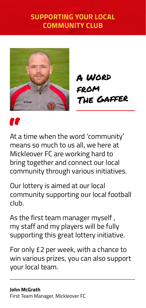### **SUPPORTING YOUR LOCAL COMMUNITY CLUB**



A Word from The Gaffer

# "

At a time when the word 'community' means so much to us all, we here at Mickleover FC are working hard to bring together and connect our local community through various initiatives.

Our lottery is aimed at our local community supporting our local football club.

As the first team manager myself , my staff and my players will be fully supporting this great lottery initiative.

For only £2 per week, with a chance to win various prizes, you can also support your local team.

#### **John McGrath**  First Team Manager, Mickleover FC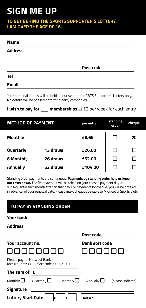## **SIGN ME UP**

**TO GET BEHIND THE SPORTS SUPPORTER'S LOTTERY, I AM OVER THE AGE OF 16.**

#### **Name**

| <b>Address</b> |           |  |
|----------------|-----------|--|
|                |           |  |
|                | Post code |  |
| <b>Tel</b>     |           |  |
| <b>Fmail</b>   |           |  |

Your personal details will be held on our system for GBTS Supporter's Lottery only. No details will be passed onto thrid party companies.

**I wish to pay for <b>memberships** at £2 per week for each entry.

| <b>METHOD OF PAYMENT</b> |          | per entry | standing<br>order | cheque       |
|--------------------------|----------|-----------|-------------------|--------------|
| <b>Monthly</b>           |          | £8.66     |                   | ×            |
| Quarterly                | 13 draws | £26.00    | ΙI                | $\mathsf{L}$ |
| 6 Monthly                | 26 draws | £52.00    |                   | $\mathsf{L}$ |
| <b>Annually</b>          | 52 draws | £104.00   |                   |              |

Standing order payments are continuous. **Payments by standing order help us keep our costs down.** The first payment will be taken on your chosen payment day and subsequently each month after on that day. For payments by cheque, you will be notified in advance, of your renewal date. Please make cheques payable to Mickleover Sports Club.

#### **TO PAY BY STANDING ORDER**

#### **Your bank**

| <b>Address</b>                                                        |                                                          |
|-----------------------------------------------------------------------|----------------------------------------------------------|
|                                                                       | Post code                                                |
| Your account no.                                                      | <b>Bank sort code</b>                                    |
|                                                                       |                                                          |
| Please pay to: Natwest Bank<br>(Acc No. 32598823 Sort code: 60-12-01) |                                                          |
| The sum of $ $                                                        |                                                          |
| Monthly $\square$<br>Quarterly $\Box$                                 | 6 Monthly $\Box$<br>Annually $\Box$<br>(please indicate) |
| Signature                                                             |                                                          |
| <b>Lottery Start Date</b><br>п<br>٠                                   | Ref No.                                                  |